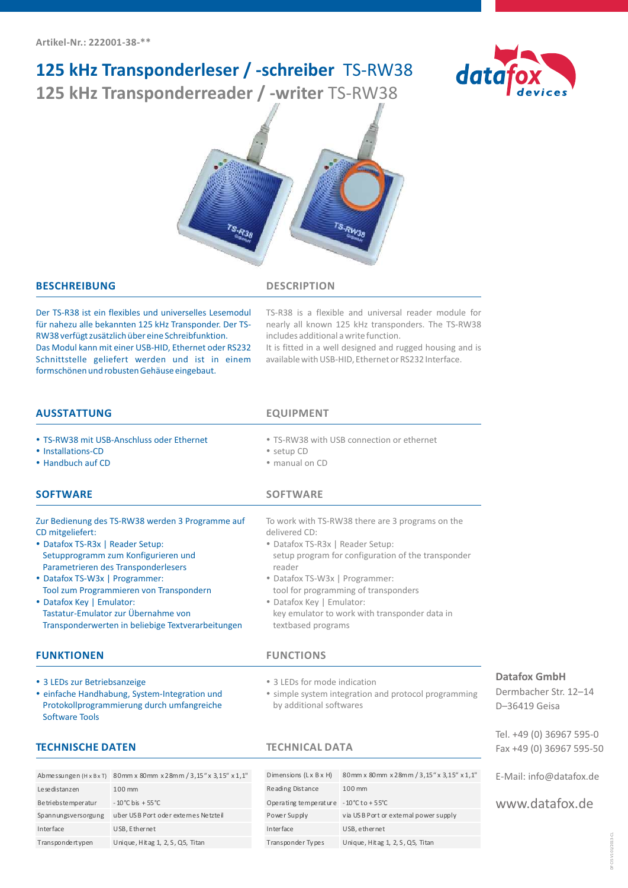# **125 kHz Transponderleser / -schreiber** TS-RW38

**125 kHz Transponderreader / -writer** TS-RW38





### **BESCHREIBUNG DESCRIPTION**

Der TS-R38 ist ein flexibles und universelles Lesemodul für nahezu alle bekannten 125 kHz Transponder. Der TS-RW38 verfügt zusätzlich über eine Schreibfunktion. Das Modul kann mit einer USB-HID, Ethernet oder RS232 Schnittstelle geliefert werden und ist in einem formschönen und robusten Gehäuse eingebaut.

TS-R38 is a flexible and universal reader module for nearly all known 125 kHz transponders. The TS-RW38 includes additional a write function.

It is fitted in a well designed and rugged housing and is available with USB-HID, Ethernet or RS232 Interface.

| <b>AUSSTATTUNG</b>                                                                                                                                                                                                                                                                                                                                                                           | <b>EQUIPMENT</b>                                                                                                                                                                                                                                                                                                                                    |
|----------------------------------------------------------------------------------------------------------------------------------------------------------------------------------------------------------------------------------------------------------------------------------------------------------------------------------------------------------------------------------------------|-----------------------------------------------------------------------------------------------------------------------------------------------------------------------------------------------------------------------------------------------------------------------------------------------------------------------------------------------------|
| • TS-RW38 mit USB-Anschluss oder Ethernet<br>• Installations-CD<br>• Handbuch auf CD                                                                                                                                                                                                                                                                                                         | • TS-RW38 with USB connection or ethernet<br>• setup CD<br>· manual on CD                                                                                                                                                                                                                                                                           |
| <b>SOFTWARE</b>                                                                                                                                                                                                                                                                                                                                                                              | <b>SOFTWARE</b>                                                                                                                                                                                                                                                                                                                                     |
| Zur Bedienung des TS-RW38 werden 3 Programme auf<br>CD mitgeliefert:<br>• Datafox TS-R3x   Reader Setup:<br>Setupprogramm zum Konfigurieren und<br>Parametrieren des Transponderlesers<br>• Datafox TS-W3x   Programmer:<br>Tool zum Programmieren von Transpondern<br>• Datafox Key   Emulator:<br>Tastatur-Emulator zur Übernahme von<br>Transponderwerten in beliebige Textverarbeitungen | To work with TS-RW38 there are 3 programs on the<br>delivered CD:<br>• Datafox TS-R3x   Reader Setup:<br>setup program for configuration of the transponder<br>reader<br>• Datafox TS-W3x   Programmer:<br>tool for programming of transponders<br>• Datafox Key   Emulator:<br>key emulator to work with transponder data in<br>textbased programs |
| <b>FUNKTIONEN</b>                                                                                                                                                                                                                                                                                                                                                                            | <b>FUNCTIONS</b>                                                                                                                                                                                                                                                                                                                                    |
| • 3 LEDs zur Betriebsanzeige<br>• einfache Handhabung, System-Integration und<br>Protokollprogrammierung durch umfangreiche<br><b>Software Tools</b>                                                                                                                                                                                                                                         | • 3 LEDs for mode indication<br>· simple system integration and protocol programmin<br>by additional softwares                                                                                                                                                                                                                                      |
| <b>TECHNISCHE DATEN</b>                                                                                                                                                                                                                                                                                                                                                                      | <b>TECHNICAL DATA</b>                                                                                                                                                                                                                                                                                                                               |

| Abmessungen (H x B x T) | 80mm x 80mm x 28mm / 3,15" x 3,15" x 1,1" |
|-------------------------|-------------------------------------------|
| Le se distanzen         | 100 mm                                    |
| Be triebs te mperatur   | $-10^{\circ}$ C bis + 55 °C               |
| Spannungsversorgung     | uber USB Port oder externes Netzteil      |
| Interface               | USB, Ethernet                             |
| Transpondertypen        | Unique, Hitag 1, 2, S, Q5, Titan          |

| Dimensions (Lx B x H)                                      | 80mm x 80mm x 28mm / 3, 15" x 3, 15" x 1, 1" |
|------------------------------------------------------------|----------------------------------------------|
| Reading Distance                                           | 100 mm                                       |
| Operating temperature $-10^{\circ}$ C to + 55 $^{\circ}$ C |                                              |
| Power Supply                                               | via USB Port or external power supply        |
| <b>Interface</b>                                           | USB, ethernet                                |
| Transponder Types                                          | Unique, Hitag 1, 2, S, Q5, Titan             |

## **Datafox GmbH**

Dermbacher Str. 12–14 D–36419 Geisa

Tel. +49 (0) 36967 595-0 Fax +49 (0) 36967 595-50

E-Mail: info@datafox.de

www.datafox.de